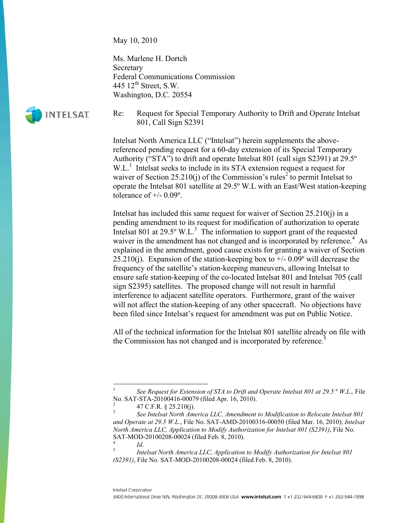May 10, 2010

Ms. Marlene H. Dortch **Secretary** Federal Communications Commission 445  $12^{th}$  Street, S.W. Washington, D.C. 20554



Re: Request for Special Temporary Authority to Drift and Operate Intelsat 801, Call Sign S2391

Intelsat North America LLC ("Intelsat") herein supplements the abovereferenced pending request for a 60-day extension of its Special Temporary Authority ("STA") to drift and operate Intelsat 801 (call sign S2391) at 29.5º W.L.<sup>1</sup> Intelsat seeks to include in its STA extension request a request for waiver of Section 25.210(j) of the Commission's rules<sup>2</sup> to permit Intelsat to operate the Intelsat 801 satellite at 29.5º W.L with an East/West station-keeping tolerance of  $+/- 0.09$ °.

Intelsat has included this same request for waiver of Section 25.210(j) in a pending amendment to its request for modification of authorization to operate Intelsat 801 at  $29.5^\circ$  W.L.<sup>3</sup> The information to support grant of the requested waiver in the amendment has not changed and is incorporated by reference.<sup>4</sup> As explained in the amendment, good cause exists for granting a waiver of Section 25.210(j). Expansion of the station-keeping box to  $+/- 0.09^{\circ}$  will decrease the frequency of the satellite's station-keeping maneuvers, allowing Intelsat to ensure safe station-keeping of the co-located Intelsat 801 and Intelsat 705 (call sign S2395) satellites. The proposed change will not result in harmful interference to adjacent satellite operators. Furthermore, grant of the waiver will not affect the station-keeping of any other spacecraft. No objections have been filed since Intelsat's request for amendment was put on Public Notice.

All of the technical information for the Intelsat 801 satellite already on file with the Commission has not changed and is incorporated by reference.<sup>5</sup>

1

<sup>1</sup> *See Request for Extension of STA to Drift and Operate Intelsat 801 at 29.5* º *W.L*.*,* File No. SAT-STA-20100416-00079 (filed Apr. 16, 2010). 2

 <sup>47</sup> C.F.R. § 25.210(j).

<sup>3</sup> *See Intelsat North America LLC, Amendment to Modification to Relocate Intelsat 801 and Operate at 29.5 W.L.*, File No. SAT-AMD-20100316-00050 (filed Mar. 16, 2010); *Intelsat North America LLC, Application to Modify Authorization for Intelsat 801 (S2391)*, File No. SAT-MOD-20100208-00024 (filed Feb. 8, 2010).

<sup>4</sup>  $I_d$ .<br>5  $I_{\text{net}}$ 

*Intelsat North America LLC, Application to Modify Authorization for Intelsat 801 (S2391)*, File No. SAT-MOD-20100208-00024 (filed Feb. 8, 2010).